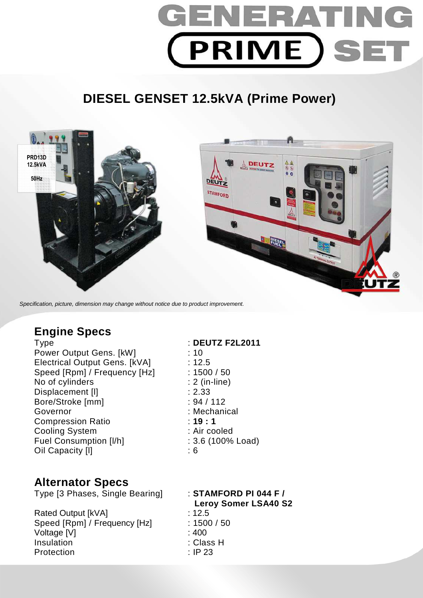

## **DIESEL GENSET 12.5kVA (Prime Power)**



Specification, picture, dimension may change without notice due to product improvement.

### **Engine Specs**

Power Output Gens. [kW] : 10 Electrical Output Gens. [kVA] : 12.5 Speed [Rpm] / Frequency [Hz] : 1500 / 50 No of cylinders : 2 (in-line) Displacement [I] 2.33 Bore/Stroke [mm] : 94 / 112 Governor : Mechanical Compression Ratio : **19 : 1**  Cooling System : Air cooled Fuel Consumption [I/h] : 3.6 (100% Load) Oil Capacity [l] : 6

# **Alternator Specs**

Type [3 Phases, Single Bearing] : **STAMFORD PI 044 F /** 

Rated Output [kVA] : 12.5 Speed [Rpm] / Frequency [Hz] : 1500 / 50 Voltage [V] : 400 Insulation : Class H Protection : IP 23

Type : **DEUTZ F2L2011** 

## **Leroy Somer LSA40 S2**